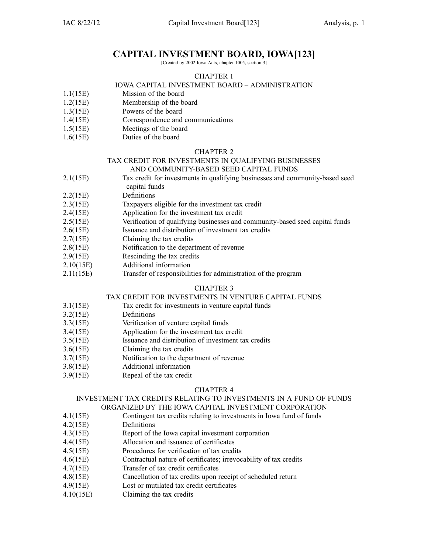# **CAPITAL INVESTMENT BOARD, IOWA[123]**

[Created by 2002 Iowa Acts, chapter 1005, section 3]

## CHAPTER 1

## IOWA CAPITAL INVESTMENT BOARD – ADMINISTRATION

- 1.1(15E) Mission of the board
- 1.2(15E) Membership of the board
- 1.3(15E) Powers of the board
- 1.4(15E) Correspondence and communications
- 1.5(15E) Meetings of the board
- 1.6(15E) Duties of the board

#### CHAPTER 2

#### TAX CREDIT FOR INVESTMENTS IN QUALIFYING BUSINESSES AND COMMUNITY-BASED SEED CAPITAL FUNDS

- 2.1(15E) Tax credit for investments in qualifying businesses and community-based seed capital funds
- 2.2(15E) Definitions
- 2.3(15E) Taxpayers eligible for the investment tax credit
- 2.4(15E) Application for the investment tax credit
- 2.5(15E) Verification of qualifying businesses and community-based seed capital funds
- 2.6(15E) Issuance and distribution of investment tax credits
- 2.7(15E) Claiming the tax credits
- 2.8(15E) Notification to the department of revenue
- 2.9(15E) Rescinding the tax credits
- 2.10(15E) Additional information
- 2.11(15E) Transfer of responsibilities for administration of the program

### CHAPTER 3

### TAX CREDIT FOR INVESTMENTS IN VENTURE CAPITAL FUNDS

3.1(15E) Tax credit for investments in venture capital funds

- 3.2(15E) Definitions
- 3.3(15E) Verification of venture capital funds
- 3.4(15E) Application for the investment tax credit
- 3.5(15E) Issuance and distribution of investment tax credits
- 3.6(15E) Claiming the tax credits
- 3.7(15E) Notification to the department of revenue
- 3.8(15E) Additional information
- 3.9(15E) Repeal of the tax credit

### CHAPTER 4

#### INVESTMENT TAX CREDITS RELATING TO INVESTMENTS IN A FUND OF FUNDS ORGANIZED BY THE IOWA CAPITAL INVESTMENT CORPORATION

- 4.1(15E) Contingent tax credits relating to investments in Iowa fund of funds
- 4.2(15E) Definitions
- 4.3(15E) Report of the Iowa capital investment corporation
- 4.4(15E) Allocation and issuance of certificates
- 4.5(15E) Procedures for verification of tax credits
- 4.6(15E) Contractual nature of certificates; irrevocability of tax credits
- 4.7(15E) Transfer of tax credit certificates
- 4.8(15E) Cancellation of tax credits upon receipt of scheduled return
- 4.9(15E) Lost or mutilated tax credit certificates
- 4.10(15E) Claiming the tax credits